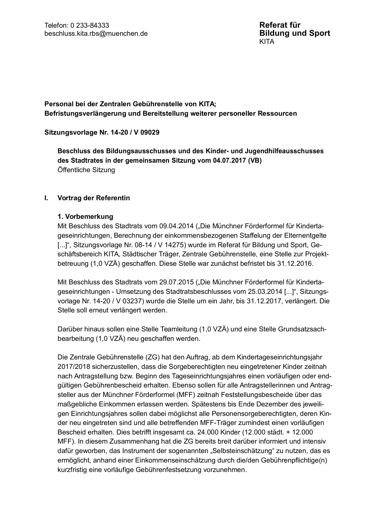# Personal bei der Zentralen Gebührenstelle von KITA; Befristungsverlängerung und Bereitstellung weiterer personeller Ressourcen

### Sitzungsvorlage Nr. 14-20 / V 09029

Beschluss des Bildungsausschusses und des Kinder- und Jugendhilfeausschusses des Stadtrates in der gemeinsamen Sitzung vom 04.07.2017 (VB) Öffentliche Sitzung

#### Ι. Vortrag der Referentin

### 1. Vorbemerkung

Mit Beschluss des Stadtrats vom 09.04.2014 ("Die Münchner Förderformel für Kindertageseinrichtungen, Berechnung der einkommensbezogenen Staffelung der Elternentgelte [...]", Sitzungsvorlage Nr. 08-14 / V 14275) wurde im Referat für Bildung und Sport, Geschäftsbereich KITA, Städtischer Träger, Zentrale Gebührenstelle, eine Stelle zur Projektbetreuung (1,0 VZÄ) geschaffen. Diese Stelle war zunächst befristet bis 31.12.2016.

Mit Beschluss des Stadtrats vom 29.07.2015 ("Die Münchner Förderformel für Kindertageseinrichtungen - Umsetzung des Stadtratsbeschlusses vom 25.03.2014 [...]", Sitzungsvorlage Nr. 14-20 / V 03237) wurde die Stelle um ein Jahr, bis 31.12.2017, verlängert. Die Stelle soll erneut verlängert werden.

Darüber hinaus sollen eine Stelle Teamleitung (1,0 VZÄ) und eine Stelle Grundsatzsachbearbeitung (1,0 VZÄ) neu geschaffen werden.

Die Zentrale Gebührenstelle (ZG) hat den Auftrag, ab dem Kindertageseinrichtungsjahr 2017/2018 sicherzustellen, dass die Sorgeberechtigten neu eingetretener Kinder zeitnah nach Antragstellung bzw. Beginn des Tageseinrichtungsjahres einen vorläufigen oder endgültigen Gebührenbescheid erhalten. Ebenso sollen für alle Antragstellerinnen und Antragsteller aus der Münchner Förderformel (MFF) zeitnah Feststellungsbescheide über das maßgebliche Einkommen erlassen werden. Spätestens bis Ende Dezember des jeweiligen Einrichtungsjahres sollen dabei möglichst alle Personensorgeberechtigten, deren Kinder neu eingetreten sind und alle betreffenden MFF-Träger zumindest einen vorläufigen Bescheid erhalten. Dies betrifft insgesamt ca. 24.000 Kinder (12.000 städt. + 12.000 MFF). In diesem Zusammenhang hat die ZG bereits breit darüber informiert und intensiv dafür geworben, das Instrument der sogenannten "Selbsteinschätzung" zu nutzen, das es ermöglicht, anhand einer Einkommenseinschätzung durch die/den Gebührenpflichtige(n) kurzfristig eine vorläufige Gebührenfestsetzung vorzunehmen.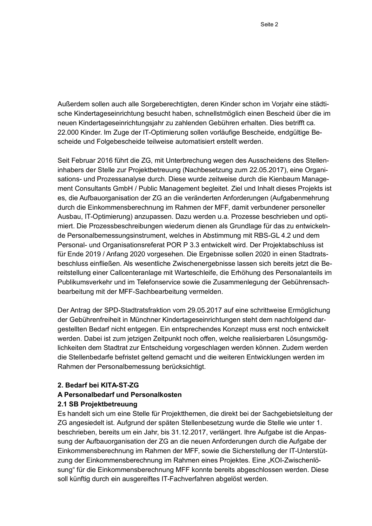Außerdem sollen auch alle Sorgeberechtigten, deren Kinder schon im Vorjahr eine städtische Kindertageseinrichtung besucht haben, schnellstmöglich einen Bescheid über die im neuen Kindertageseinrichtungsjahr zu zahlenden Gebühren erhalten. Dies betrifft ca. 22.000 Kinder. Im Zuge der IT-Optimierung sollen vorläufige Bescheide, endgültige Bescheide und Folgebescheide teilweise automatisiert erstellt werden.

Seit Februar 2016 führt die ZG, mit Unterbrechung wegen des Ausscheidens des Stelleninhabers der Stelle zur Projektbetreuung (Nachbesetzung zum 22.05.2017), eine Organisations- und Prozessanalyse durch. Diese wurde zeitweise durch die Kienbaum Management Consultants GmbH / Public Management begleitet. Ziel und Inhalt dieses Projekts ist es, die Aufbauorganisation der ZG an die veränderten Anforderungen (Aufgabenmehrung durch die Einkommensberechnung im Rahmen der MFF, damit verbundener personeller Ausbau, IT-Optimierung) anzupassen. Dazu werden u.a. Prozesse beschrieben und optimiert. Die Prozessbeschreibungen wiederum dienen als Grundlage für das zu entwickelnde Personalbemessungsinstrument, welches in Abstimmung mit RBS-GL 4.2 und dem Personal- und Organisationsreferat POR P 3.3 entwickelt wird. Der Projektabschluss ist für Ende 2019 / Anfang 2020 vorgesehen. Die Ergebnisse sollen 2020 in einen Stadtratsbeschluss einfließen. Als wesentliche Zwischenergebnisse lassen sich bereits jetzt die Bereitstellung einer Callcenteranlage mit Warteschleife, die Erhöhung des Personalanteils im Publikumsverkehr und im Telefonservice sowie die Zusammenlegung der Gebührensachbearbeitung mit der MFF-Sachbearbeitung vermelden.

Der Antrag der SPD-Stadtratsfraktion vom 29.05.2017 auf eine schrittweise Ermöglichung der Gebührenfreiheit in Münchner Kindertageseinrichtungen steht dem nachfolgend dargestellten Bedarf nicht entgegen. Ein entsprechendes Konzept muss erst noch entwickelt werden. Dabei ist zum jetzigen Zeitpunkt noch offen, welche realisierbaren Lösungsmöglichkeiten dem Stadtrat zur Entscheidung vorgeschlagen werden können. Zudem werden die Stellenbedarfe befristet geltend gemacht und die weiteren Entwicklungen werden im Rahmen der Personalbemessung berücksichtigt.

#### 2. Bedarf bei KITA-ST-ZG

#### A Personalbedarf und Personalkosten

#### 2.1 SB Projektbetreuung

Es handelt sich um eine Stelle für Projektthemen, die direkt bei der Sachgebietsleitung der ZG angesiedelt ist. Aufgrund der späten Stellenbesetzung wurde die Stelle wie unter 1. beschrieben, bereits um ein Jahr, bis 31.12.2017, verlängert. Ihre Aufgabe ist die Anpassung der Aufbauorganisation der ZG an die neuen Anforderungen durch die Aufgabe der Einkommensberechnung im Rahmen der MFF, sowie die Sicherstellung der IT-Unterstützung der Einkommensberechnung im Rahmen eines Projektes. Eine "KOI-Zwischenlösung" für die Einkommensberechnung MFF konnte bereits abgeschlossen werden. Diese soll künftig durch ein ausgereiftes IT-Fachverfahren abgelöst werden.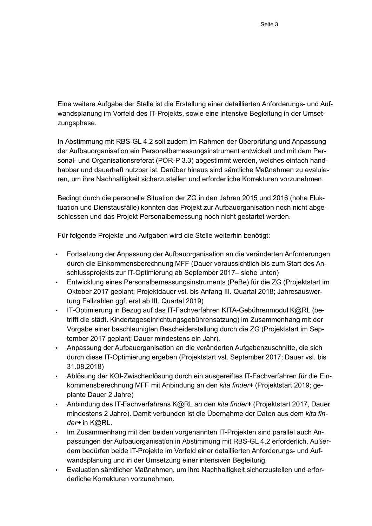Eine weitere Aufgabe der Stelle ist die Erstellung einer detaillierten Anforderungs- und Aufwandsplanung im Vorfeld des IT-Projekts, sowie eine intensive Begleitung in der Umsetzungsphase.

In Abstimmung mit RBS-GL 4.2 soll zudem im Rahmen der Überprüfung und Anpassung der Aufbauorganisation ein Personalbemessungsinstrument entwickelt und mit dem Personal- und Organisationsreferat (POR-P 3.3) abgestimmt werden, welches einfach handhabbar und dauerhaft nutzbar ist. Darüber hinaus sind sämtliche Maßnahmen zu evaluieren, um ihre Nachhaltigkeit sicherzustellen und erforderliche Korrekturen vorzunehmen.

Bedingt durch die personelle Situation der ZG in den Jahren 2015 und 2016 (hohe Fluktuation und Dienstausfälle) konnten das Projekt zur Aufbauorganisation noch nicht abgeschlossen und das Projekt Personalbemessung noch nicht gestartet werden.

Für folgende Projekte und Aufgaben wird die Stelle weiterhin benötigt:

- Fortsetzung der Anpassung der Aufbauorganisation an die veränderten Anforderungen durch die Einkommensberechnung MFF (Dauer voraussichtlich bis zum Start des Anschlussprojekts zur IT-Optimierung ab September 2017– siehe unten)
- Entwicklung eines Personalbemessungsinstruments (PeBe) für die ZG (Projektstart im Oktober 2017 geplant; Projektdauer vsl. bis Anfang III. Quartal 2018; Jahresauswertung Fallzahlen ggf. erst ab III. Quartal 2019)
- · IT-Optimierung in Bezug auf das IT-Fachverfahren KITA-Gebührenmodul K@RL (betrifft die städt. Kindertageseinrichtungsgebührensatzung) im Zusammenhang mit der Vorgabe einer beschleunigten Bescheiderstellung durch die ZG (Projektstart im September 2017 geplant; Dauer mindestens ein Jahr).
- Anpassung der Aufbauorganisation an die veränderten Aufgabenzuschnitte, die sich durch diese IT-Optimierung ergeben (Projektstart vsl. September 2017; Dauer vsl. bis 31.08.2018)
- . Ablösung der KOI-Zwischenlösung durch ein ausgereiftes IT-Fachverfahren für die Einkommensberechnung MFF mit Anbindung an den kita finder+ (Projektstart 2019; geplante Dauer 2 Jahre)
- Anbindung des IT-Fachverfahrens K@RL an den kita finder+ (Projektstart 2017, Dauer  $\bullet$ mindestens 2 Jahre). Damit verbunden ist die Übernahme der Daten aus dem kita finder+ in K@RL.
- . Im Zusammenhang mit den beiden vorgenannten IT-Projekten sind parallel auch Anpassungen der Aufbauorganisation in Abstimmung mit RBS-GL 4.2 erforderlich. Außerdem bedürfen beide IT-Projekte im Vorfeld einer detaillierten Anforderungs- und Aufwandsplanung und in der Umsetzung einer intensiven Begleitung.
- Evaluation sämtlicher Maßnahmen, um ihre Nachhaltigkeit sicherzustellen und erforderliche Korrekturen vorzunehmen.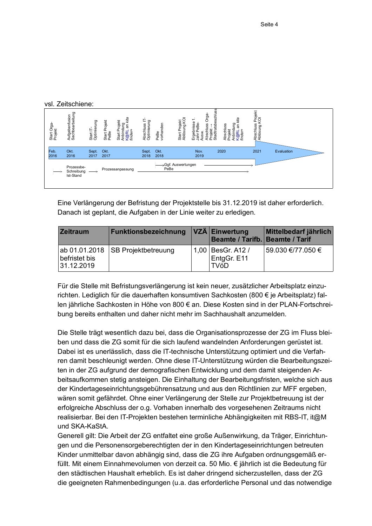vsl Zeitschiene:

| Start Orga-<br>Projekt | Aufgabenfusion<br>Sachbearbeitung     | Start IT-<br>Optimierung | Projekt<br>Start  <br>PeBe | kita<br>Start Projekt<br>Anbindung<br>K@RL an <i>kita</i><br><i>finder</i> + | Abschluss IT-<br>Optimierung | PeBe<br>vorhanden | Start Projekt<br>Ablösung KO | $\begin{array}{lcl} {\sf Aschuss\, Orga}\smallskip\small\smallskip\small\smallskip\small\smallskip\\ {\sf Projekt}\to\\ {\sf Projekt}\to\\ {\sf Stadtratsbeschuss}\end{array}$<br>$\overline{\phantom{0}}$<br>Ergebnisse<br>Jahr PeBe-<br>Ausw. | kita<br>an<br>Bun<br>Abschluss<br>Projekt<br>Anbindung<br>K@RL an <i>I</i><br><i>finder</i> + | Abschluss Projekt<br>Ablösung KOI |            |  |
|------------------------|---------------------------------------|--------------------------|----------------------------|------------------------------------------------------------------------------|------------------------------|-------------------|------------------------------|-------------------------------------------------------------------------------------------------------------------------------------------------------------------------------------------------------------------------------------------------|-----------------------------------------------------------------------------------------------|-----------------------------------|------------|--|
| Feb.<br>2016           | Okt.<br>2016                          | Sept.<br>2017            | Okt.<br>2017               |                                                                              | Sept.<br>2018                | Okt.<br>2018      |                              | Nov.<br>2019                                                                                                                                                                                                                                    | 2020                                                                                          | 2021                              | Evaluation |  |
|                        | Prozessbe-<br>Schreibung<br>Ist-Stand |                          |                            | Prozessanpassung                                                             |                              |                   | →Ggf. Auswertungen<br>PeBe   |                                                                                                                                                                                                                                                 |                                                                                               |                                   |            |  |

Eine Verlängerung der Befristung der Projektstelle bis 31.12.2019 ist daher erforderlich. Danach ist geplant, die Aufgaben in der Linie weiter zu erledigen.

| <b>Zeitraum</b>                              | <b>Funktionsbezeichnung</b> | VZÄ Einwertung<br>Beamte / Tarifb. Beamte / Tarif | Mittelbedarf jährlich |
|----------------------------------------------|-----------------------------|---------------------------------------------------|-----------------------|
| ab 01.01.2018<br>befristet bis<br>31.12.2019 | <b>SB Projektbetreuung</b>  | 1,00   BesGr. A12 /<br>EntgGr. E11<br><b>TVöD</b> | 59.030 €/77.050 €     |

Für die Stelle mit Befristungsverlängerung ist kein neuer, zusätzlicher Arbeitsplatz einzurichten. Lediglich für die dauerhaften konsumtiven Sachkosten (800 € je Arbeitsplatz) fallen jährliche Sachkosten in Höhe von 800 € an. Diese Kosten sind in der PLAN-Fortschreibung bereits enthalten und daher nicht mehr im Sachhaushalt anzumelden.

Die Stelle trägt wesentlich dazu bei, dass die Organisationsprozesse der ZG im Fluss bleiben und dass die ZG somit für die sich laufend wandelnden Anforderungen gerüstet ist. Dabei ist es unerlässlich, dass die IT-technische Unterstützung optimiert und die Verfahren damit beschleunigt werden. Ohne diese IT-Unterstützung würden die Bearbeitungszeiten in der ZG aufgrund der demografischen Entwicklung und dem damit steigenden Arbeitsaufkommen stetig ansteigen. Die Einhaltung der Bearbeitungsfristen, welche sich aus der Kindertageseinrichtungsgebührensatzung und aus den Richtlinien zur MFF ergeben, wären somit gefährdet. Ohne einer Verlängerung der Stelle zur Projektbetreuung ist der erfolgreiche Abschluss der o.g. Vorhaben innerhalb des vorgesehenen Zeitraums nicht realisierbar. Bei den IT-Projekten bestehen terminliche Abhängigkeiten mit RBS-IT, it@M und SKA-KaStA.

Generell gilt: Die Arbeit der ZG entfaltet eine große Außenwirkung, da Träger, Einrichtungen und die Personensorgeberechtigten der in den Kindertageseinrichtungen betreuten Kinder unmittelbar davon abhängig sind, dass die ZG ihre Aufgaben ordnungsgemäß erfüllt. Mit einem Einnahmevolumen von derzeit ca. 50 Mio. € jährlich ist die Bedeutung für den städtischen Haushalt erheblich. Es ist daher dringend sicherzustellen, dass der ZG die geeigneten Rahmenbedingungen (u.a. das erforderliche Personal und das notwendige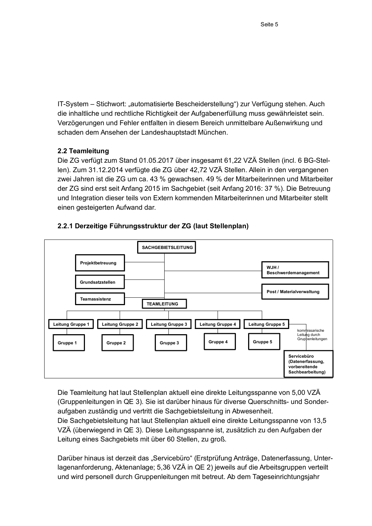IT-System – Stichwort: "automatisierte Bescheiderstellung") zur Verfügung stehen. Auch die inhaltliche und rechtliche Richtigkeit der Aufgabenerfüllung muss gewährleistet sein. Verzögerungen und Fehler entfalten in diesem Bereich unmittelbare Außenwirkung und schaden dem Ansehen der Landeshauptstadt München.

# 2.2 Teamleitung

Die ZG verfügt zum Stand 01.05.2017 über insgesamt 61,22 VZÄ Stellen (incl. 6 BG-Stellen). Zum 31.12.2014 verfügte die ZG über 42,72 VZÄ Stellen. Allein in den vergangenen zwei Jahren ist die ZG um ca. 43 % gewachsen. 49 % der Mitarbeiterinnen und Mitarbeiter der ZG sind erst seit Anfang 2015 im Sachgebiet (seit Anfang 2016: 37 %). Die Betreuung und Integration dieser teils von Extern kommenden Mitarbeiterinnen und Mitarbeiter stellt einen gesteigerten Aufwand dar.



# 2.2.1 Derzeitige Führungsstruktur der ZG (laut Stellenplan)

Die Teamleitung hat laut Stellenplan aktuell eine direkte Leitungsspanne von 5,00 VZÄ (Gruppenleitungen in QE 3). Sie ist darüber hinaus für diverse Querschnitts- und Sonderaufgaben zuständig und vertritt die Sachgebietsleitung in Abwesenheit.

Die Sachgebietsleitung hat laut Stellenplan aktuell eine direkte Leitungsspanne von 13.5 VZÄ (überwiegend in QE 3). Diese Leitungsspanne ist, zusätzlich zu den Aufgaben der Leitung eines Sachgebiets mit über 60 Stellen, zu groß.

Darüber hinaus ist derzeit das "Servicebüro" (Erstprüfung Anträge, Datenerfassung, Unterlagenanforderung, Aktenanlage; 5,36 VZÄ in QE 2) jeweils auf die Arbeitsgruppen verteilt und wird personell durch Gruppenleitungen mit betreut. Ab dem Tageseinrichtungsjahr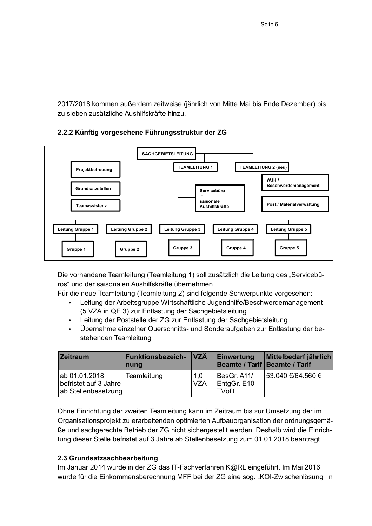2017/2018 kommen außerdem zeitweise (jährlich von Mitte Mai bis Ende Dezember) bis zu sieben zusätzliche Aushilfskräfte hinzu

# 2.2.2 Künftig vorgesehene Führungsstruktur der ZG



Die vorhandene Teamleitung (Teamleitung 1) soll zusätzlich die Leitung des "Servicebüros" und der saisonalen Aushilfskräfte übernehmen.

Für die neue Teamleitung (Teamleitung 2) sind folgende Schwerpunkte vorgesehen:

- Leitung der Arbeitsgruppe Wirtschaftliche Jugendhilfe/Beschwerdemanagement (5 VZÄ in QE 3) zur Entlastung der Sachgebietsleitung
- Leitung der Poststelle der ZG zur Entlastung der Sachgebietsleitung
- Übernahme einzelner Querschnitts- und Sonderaufgaben zur Entlastung der bestehenden Teamleitung

| <b>Zeitraum</b>                                               | Funktionsbezeich- VZÄ<br>nung |            | Einwertung                                | Mittelbedarf jährlich<br>Beamte / Tarif   Beamte / Tarif |
|---------------------------------------------------------------|-------------------------------|------------|-------------------------------------------|----------------------------------------------------------|
| ab 01.01.2018<br>befristet auf 3 Jahre<br>ab Stellenbesetzung | Teamleitung                   | 1,0<br>VZÄ | BesGr. A11/<br>EntgGr. E10<br><b>TVöD</b> | 53.040 €/64.560 €                                        |

Ohne Einrichtung der zweiten Teamleitung kann im Zeitraum bis zur Umsetzung der im Organisationsprojekt zu erarbeitenden optimierten Aufbauorganisation der ordnungsgemäße und sachgerechte Betrieb der ZG nicht sichergestellt werden. Deshalb wird die Einrichtung dieser Stelle befristet auf 3 Jahre ab Stellenbesetzung zum 01.01.2018 beantragt.

# 2.3 Grundsatzsachbearbeitung

Im Januar 2014 wurde in der ZG das IT-Fachverfahren K@RL eingeführt. Im Mai 2016 wurde für die Einkommensberechnung MFF bei der ZG eine sog. "KOI-Zwischenlösung" in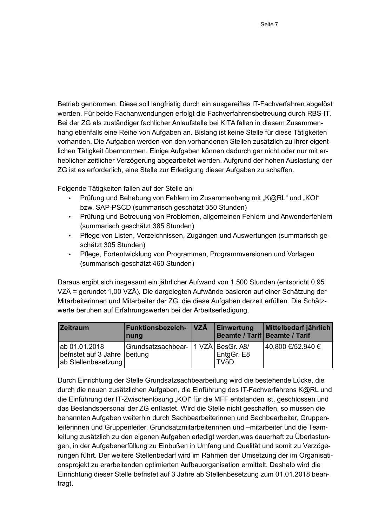Betrieb genommen. Diese soll langfristig durch ein ausgereiftes IT-Fachverfahren abgelöst werden. Für beide Fachanwendungen erfolgt die Fachverfahrensbetreuung durch RBS-IT. Bei der ZG als zuständiger fachlicher Anlaufstelle bei KITA fallen in diesem Zusammenhang ebenfalls eine Reihe von Aufgaben an. Bislang ist keine Stelle für diese Tätigkeiten vorhanden. Die Aufgaben werden von den vorhandenen Stellen zusätzlich zu ihrer eigentlichen Tätigkeit übernommen. Einige Aufgaben können dadurch gar nicht oder nur mit erheblicher zeitlicher Verzögerung abgearbeitet werden. Aufgrund der hohen Auslastung der ZG ist es erforderlich, eine Stelle zur Erledigung dieser Aufgaben zu schaffen.

Folgende Tätigkeiten fallen auf der Stelle an:

- Prüfung und Behebung von Fehlern im Zusammenhang mit "K@RL" und "KOI" bzw. SAP-PSCD (summarisch geschätzt 350 Stunden)
- Prüfung und Betreuung von Problemen, allgemeinen Fehlern und Anwenderfehlern (summarisch geschätzt 385 Stunden)
- Pflege von Listen, Verzeichnissen, Zugängen und Auswertungen (summarisch geschätzt 305 Stunden)
- Pflege, Fortentwicklung von Programmen, Programmversionen und Vorlagen (summarisch geschätzt 460 Stunden)

Daraus ergibt sich insgesamt ein jährlicher Aufwand von 1.500 Stunden (entspricht 0,95 VZÄ = gerundet 1,00 VZÄ). Die dargelegten Aufwände basieren auf einer Schätzung der Mitarbeiterinnen und Mitarbeiter der ZG, die diese Aufgaben derzeit erfüllen. Die Schätzwerte beruhen auf Erfahrungswerten bei der Arbeitserledigung.

| <b>Zeitraum</b>                                                       | Funktionsbezeich- VZÄ<br>nung           | Einwertung                | Mittelbedarf jährlich<br>Beamte / Tarif Beamte / Tarif |
|-----------------------------------------------------------------------|-----------------------------------------|---------------------------|--------------------------------------------------------|
| ab 01.01.2018<br>befristet auf 3 Jahre beitung<br>ab Stellenbesetzung | Grundsatzsachbear-   1 VZÄ   BesGr. A8/ | EntgGr. E8<br><b>TVöD</b> | 40.800 €/52.940 €                                      |

Durch Einrichtung der Stelle Grundsatzsachbearbeitung wird die bestehende Lücke, die durch die neuen zusätzlichen Aufgaben, die Einführung des IT-Fachverfahrens K@RL und die Einführung der IT-Zwischenlösung "KOI" für die MFF entstanden ist, geschlossen und das Bestandspersonal der ZG entlastet. Wird die Stelle nicht geschaffen, so müssen die benannten Aufgaben weiterhin durch Sachbearbeiterinnen und Sachbearbeiter, Gruppenleiterinnen und Gruppenleiter. Grundsatzmitarbeiterinnen und –mitarbeiter und die Teamleitung zusätzlich zu den eigenen Aufgaben erledigt werden, was dauerhaft zu Überlastungen, in der Aufgabenerfüllung zu Einbußen in Umfang und Qualität und somit zu Verzögerungen führt. Der weitere Stellenbedarf wird im Rahmen der Umsetzung der im Organisationsprojekt zu erarbeitenden optimierten Aufbauorganisation ermittelt. Deshalb wird die Einrichtung dieser Stelle befristet auf 3 Jahre ab Stellenbesetzung zum 01.01.2018 beantragt.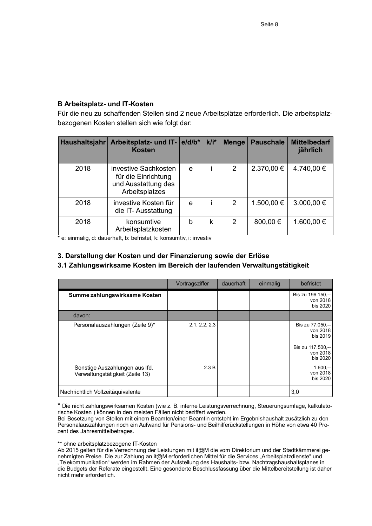# **B Arbeitsplatz- und IT-Kosten**

Für die neu zu schaffenden Stellen sind 2 neue Arbeitsplätze erforderlich. Die arbeitsplatzbezogenen Kosten stellen sich wie folgt dar:

| Haushaltsjahr | Arbeitsplatz- und IT- e/d/b*<br><b>Kosten</b>                                        |   | $k/i^*$ | <b>Menge</b>   | <b>Pauschale</b> | <b>Mittelbedarf</b><br>jährlich |
|---------------|--------------------------------------------------------------------------------------|---|---------|----------------|------------------|---------------------------------|
| 2018          | investive Sachkosten<br>für die Einrichtung<br>und Ausstattung des<br>Arbeitsplatzes | e |         | 2              | 2.370,00 €       | 4.740,00 €                      |
| 2018          | investive Kosten für<br>die IT-Ausstattung                                           | e |         | $\overline{2}$ | 1.500,00 €       | $3.000,00 \in$                  |
| 2018          | konsumtive<br>Arbeitsplatzkosten                                                     | b | k       | 2              | 800,00 €         | 1.600,00 €                      |

\* e: einmalig, d: dauerhaft, b: befristet, k: konsumtiv, i: investiv

# 3. Darstellung der Kosten und der Finanzierung sowie der Erlöse

# 3.1 Zahlungswirksame Kosten im Bereich der laufenden Verwaltungstätigkeit

|                                                                   | Vortragsziffer | dauerhaft | einmalig | befristet                                                                             |
|-------------------------------------------------------------------|----------------|-----------|----------|---------------------------------------------------------------------------------------|
| Summe zahlungswirksame Kosten                                     |                |           |          | Bis zu 196.150,--<br>von 2018<br>bis 2020                                             |
| davon:                                                            |                |           |          |                                                                                       |
| Personalauszahlungen (Zeile 9)*                                   | 2.1, 2.2, 2.3  |           |          | Bis zu 77.050 --<br>von 2018<br>bis 2019<br>Bis zu 117.500,--<br>von 2018<br>bis 2020 |
| Sonstige Auszahlungen aus Ifd.<br>Verwaltungstätigkeit (Zeile 13) | 2.3 B          |           |          | $1.600 -$<br>von 2018<br>bis 2020                                                     |
| Nachrichtlich Vollzeitäquivalente                                 |                |           |          | 3,0                                                                                   |

\* Die nicht zahlungswirksamen Kosten (wie z. B. interne Leistungsverrechnung, Steuerungsumlage, kalkulatorische Kosten) können in den meisten Fällen nicht beziffert werden.

Bei Besetzung von Stellen mit einem Beamten/einer Beamtin entsteht im Ergebnishaushalt zusätzlich zu den Personalauszahlungen noch ein Aufwand für Pensions- und Beilhilferückstellungen in Höhe von etwa 40 Prozent des Jahresmittelbetrages.

#### \*\* ohne arbeitsplatzbezogene IT-Kosten

Ab 2015 gelten für die Verrechnung der Leistungen mit it@M die vom Direktorium und der Stadtkämmerei genehmigten Preise. Die zur Zahlung an it@M erforderlichen Mittel für die Services "Arbeitsplatzdienste" und Telekommunikation" werden im Rahmen der Aufstellung des Haushalts- bzw. Nachtragshaushaltsplanes in die Budgets der Referate eingestellt. Eine gesonderte Beschlussfassung über die Mittelbereitstellung ist daher nicht mehr erforderlich.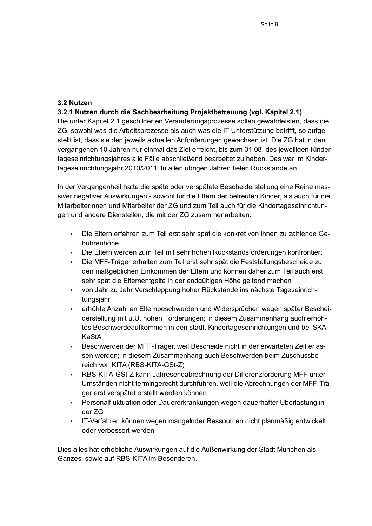### 3.2 Nutzen

# 3.2.1 Nutzen durch die Sachbearbeitung Projektbetreuung (vgl. Kapitel 2.1)

Die unter Kapitel 2.1 geschilderten Veränderungsprozesse sollen gewährleisten, dass die ZG, sowohl was die Arbeitsprozesse als auch was die IT-Unterstützung betrifft, so aufgestellt ist, dass sie den jeweils aktuellen Anforderungen gewachsen ist. Die ZG hat in den vergangenen 10 Jahren nur einmal das Ziel erreicht, bis zum 31.08, des jeweiligen Kindertageseinrichtungsjahres alle Fälle abschließend bearbeitet zu haben. Das war im Kindertageseinrichtungsjahr 2010/2011. In allen übrigen Jahren fielen Rückstände an.

In der Vergangenheit hatte die späte oder verspätete Bescheiderstellung eine Reihe massiver negativer Auswirkungen - sowohl für die Eltern der betreuten Kinder, als auch für die Mitarbeiterinnen und Mitarbeiter der ZG und zum Teil auch für die Kindertageseinrichtungen und andere Dienstellen, die mit der ZG zusammenarbeiten:

- · Die Eltern erfahren zum Teil erst sehr spät die konkret von ihnen zu zahlende Gebührenhöhe
- Die Eltern werden zum Teil mit sehr hohen Rückstandsforderungen konfrontiert
- Die MFF-Träger erhalten zum Teil erst sehr spät die Feststellungsbescheide zu den maßgeblichen Einkommen der Eltern und können daher zum Teil auch erst sehr spät die Elternentgelte in der endgültigen Höhe geltend machen
- von Jahr zu Jahr Verschleppung hoher Rückstände ins nächste Tageseinrichtungsjahr
- erhöhte Anzahl an Elternbeschwerden und Widersprüchen wegen später Bescheiderstellung mit u.U. hohen Forderungen: in diesem Zusammenhang auch erhöhtes Beschwerdeaufkommen in den städt. Kindertageseinrichtungen und bei SKA-KaStA
- · Beschwerden der MFF-Träger, weil Bescheide nicht in der erwarteten Zeit erlassen werden: in diesem Zusammenhang auch Beschwerden beim Zuschussbereich von KITA (RBS-KITA-GSt-Z)
- RBS-KITA-GSt-Z kann Jahresendabrechnung der Differenzförderung MFF unter  $\ddot{\phantom{a}}$ Umständen nicht termingerecht durchführen, weil die Abrechnungen der MFF-Träger erst verspätet erstellt werden können
- Personalfluktuation oder Dauererkrankungen wegen dauerhafter Überlastung in der ZG
- · IT-Verfahren können wegen mangelnder Ressourcen nicht planmäßig entwickelt oder verbessert werden.

Dies alles hat erhebliche Auswirkungen auf die Außenwirkung der Stadt München als Ganzes, sowie auf RBS-KITA im Besonderen.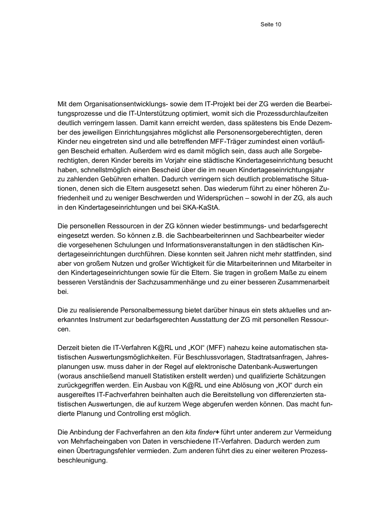Mit dem Organisationsentwicklungs- sowie dem IT-Projekt bei der ZG werden die Bearbeitungsprozesse und die IT-Unterstützung optimiert, womit sich die Prozessdurchlaufzeiten deutlich verringern lassen. Damit kann erreicht werden, dass spätestens bis Ende Dezember des jeweiligen Einrichtungsjahres möglichst alle Personensorgeberechtigten, deren Kinder neu eingetreten sind und alle betreffenden MFF-Träger zumindest einen vorläufigen Bescheid erhalten. Außerdem wird es damit möglich sein, dass auch alle Sorgeberechtigten, deren Kinder bereits im Vorjahr eine städtische Kindertageseinrichtung besucht haben, schnellstmöglich einen Bescheid über die im neuen Kindertageseinrichtungsjahr zu zahlenden Gebühren erhalten. Dadurch verringern sich deutlich problematische Situationen, denen sich die Eltern ausgesetzt sehen. Das wiederum führt zu einer höheren Zufriedenheit und zu weniger Beschwerden und Widersprüchen - sowohl in der ZG, als auch in den Kindertageseinrichtungen und bei SKA-KaStA.

Die personellen Ressourcen in der ZG können wieder bestimmungs- und bedarfsgerecht eingesetzt werden. So können z.B. die Sachbearbeiterinnen und Sachbearbeiter wieder die vorgesehenen Schulungen und Informationsveranstaltungen in den städtischen Kindertageseinrichtungen durchführen. Diese konnten seit Jahren nicht mehr stattfinden, sind aber von großem Nutzen und großer Wichtigkeit für die Mitarbeiterinnen und Mitarbeiter in den Kindertageseinrichtungen sowie für die Eltern. Sie tragen in großem Maße zu einem besseren Verständnis der Sachzusammenhänge und zu einer besseren Zusammenarbeit bei.

Die zu realisierende Personalbemessung bietet darüber hinaus ein stets aktuelles und anerkanntes Instrument zur bedarfsgerechten Ausstattung der ZG mit personellen Ressourcen.

Derzeit bieten die IT-Verfahren K@RL und "KOI" (MFF) nahezu keine automatischen statistischen Auswertungsmöglichkeiten. Für Beschlussvorlagen, Stadtratsanfragen, Jahresplanungen usw. muss daher in der Regel auf elektronische Datenbank-Auswertungen (woraus anschließend manuell Statistiken erstellt werden) und qualifizierte Schätzungen zurückgegriffen werden. Ein Ausbau von K@RL und eine Ablösung von "KOI" durch ein ausgereiftes IT-Fachverfahren beinhalten auch die Bereitstellung von differenzierten statistischen Auswertungen, die auf kurzem Wege abgerufen werden können. Das macht fundierte Planung und Controlling erst möglich.

Die Anbindung der Fachverfahren an den kita finder+ führt unter anderem zur Vermeidung von Mehrfacheingaben von Daten in verschiedene IT-Verfahren. Dadurch werden zum einen Übertragungsfehler vermieden. Zum anderen führt dies zu einer weiteren Prozessbeschleunigung.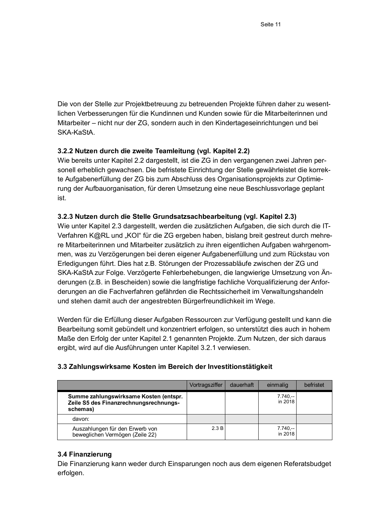Die von der Stelle zur Projektbetreuung zu betreuenden Projekte führen daher zu wesentlichen Verbesserungen für die Kundinnen und Kunden sowie für die Mitarbeiterinnen und Mitarbeiter – nicht nur der ZG, sondern auch in den Kindertageseinrichtungen und bei SKA-KaStA.

### 3.2.2 Nutzen durch die zweite Teamleitung (vgl. Kapitel 2.2)

Wie bereits unter Kapitel 2.2 dargestellt, ist die ZG in den vergangenen zwei Jahren personell erheblich gewachsen. Die befristete Einrichtung der Stelle gewährleistet die korrekte Aufgabenerfüllung der ZG bis zum Abschluss des Organisationsprojekts zur Optimierung der Aufbauorganisation, für deren Umsetzung eine neue Beschlussvorlage geplant ist.

#### 3.2.3 Nutzen durch die Stelle Grundsatzsachbearbeitung (vgl. Kapitel 2.3)

Wie unter Kapitel 2.3 dargestellt, werden die zusätzlichen Aufgaben, die sich durch die IT-Verfahren K@RL und "KOI" für die ZG ergeben haben, bislang breit gestreut durch mehrere Mitarbeiterinnen und Mitarbeiter zusätzlich zu ihren eigentlichen Aufgaben wahrgenommen, was zu Verzögerungen bei deren eigener Aufgabenerfüllung und zum Rückstau von Erledigungen führt. Dies hat z.B. Störungen der Prozessabläufe zwischen der ZG und SKA-KaStA zur Folge. Verzögerte Fehlerbehebungen, die langwierige Umsetzung von Anderungen (z.B. in Bescheiden) sowie die langfristige fachliche Vorqualifizierung der Anforderungen an die Fachverfahren gefährden die Rechtssicherheit im Verwaltungshandeln und stehen damit auch der angestrebten Bürgerfreundlichkeit im Wege.

Werden für die Erfüllung dieser Aufgaben Ressourcen zur Verfügung gestellt und kann die Bearbeitung somit gebündelt und konzentriert erfolgen, so unterstützt dies auch in hohem Maße den Erfolg der unter Kapitel 2.1 genannten Projekte. Zum Nutzen, der sich daraus ergibt, wird auf die Ausführungen unter Kapitel 3.2.1 verwiesen.

|                                                                                              | Vortragsziffer | dauerhaft | einmalig             | befristet |
|----------------------------------------------------------------------------------------------|----------------|-----------|----------------------|-----------|
| Summe zahlungswirksame Kosten (entspr.<br>Zeile S5 des Finanzrechnungsrechnungs-<br>schemas) |                |           | $7.740 -$<br>in 2018 |           |
| davon:                                                                                       |                |           |                      |           |
| Auszahlungen für den Erwerb von<br>beweglichen Vermögen (Zeile 22)                           | 2.3B           |           | $7.740 -$<br>in 2018 |           |

### 3.3 Zahlungswirksame Kosten im Bereich der Investitionstätigkeit

#### 3.4 Finanzierung

Die Finanzierung kann weder durch Einsparungen noch aus dem eigenen Referatsbudget erfolgen.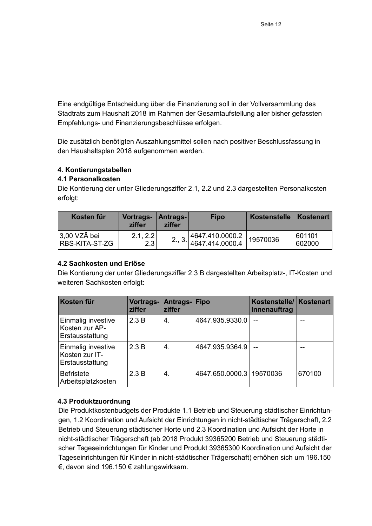Eine endgültige Entscheidung über die Finanzierung soll in der Vollversammlung des Stadtrats zum Haushalt 2018 im Rahmen der Gesamtaufstellung aller bisher gefassten Empfehlungs- und Finanzierungsbeschlüsse erfolgen.

Die zusätzlich benötigten Auszahlungsmittel sollen nach positiver Beschlussfassung in den Haushaltsplan 2018 aufgenommen werden.

# 4. Kontierungstabellen

# 4.1 Personalkosten

Die Kontierung der unter Gliederungsziffer 2.1, 2.2 und 2.3 dargestellten Personalkosten erfolgt:

| Kosten für                       | Vortrags-<br>ziffer | Antrags- <br>ziffer | <b>Fipo</b>                                                              | Kostenstelle   Kostenart |                  |
|----------------------------------|---------------------|---------------------|--------------------------------------------------------------------------|--------------------------|------------------|
| $3,00$ VZÄ bei<br>RBS-KITA-ST-ZG | 2.1, 2.2<br>2.3     |                     | $2., 3.\begin{vmatrix} 4647.410.0000.2 \\ 4647.414.0000.4 \end{vmatrix}$ | 19570036                 | 601101<br>602000 |

# 4.2 Sachkosten und Erlöse

Die Kontierung der unter Gliederungsziffer 2.3 B dargestellten Arbeitsplatz-, IT-Kosten und weiteren Sachkosten erfolgt:

| Kosten für                                              | Vortrags-<br>ziffer | Antrags-Fipo<br>ziffer |                 | Kostenstelle/ Kostenart<br>Innenauftrag |        |
|---------------------------------------------------------|---------------------|------------------------|-----------------|-----------------------------------------|--------|
| Einmalig investive<br>Kosten zur AP-<br>Erstausstattung | 2.3 B               | 4.                     | 4647.935.9330.0 |                                         | --     |
| Einmalig investive<br>Kosten zur IT-<br>Erstausstattung | 2.3 B               | 4.                     | 4647.935.9364.9 |                                         |        |
| <b>Befristete</b><br>Arbeitsplatzkosten                 | 2.3B                | 4.                     | 4647.650.0000.3 | 19570036                                | 670100 |

# 4.3 Produktzuordnung

Die Produktkostenbudgets der Produkte 1.1 Betrieb und Steuerung städtischer Einrichtungen, 1.2 Koordination und Aufsicht der Einrichtungen in nicht-städtischer Trägerschaft, 2.2 Betrieb und Steuerung städtischer Horte und 2.3 Koordination und Aufsicht der Horte in nicht-städtischer Trägerschaft (ab 2018 Produkt 39365200 Betrieb und Steuerung städtischer Tageseinrichtungen für Kinder und Produkt 39365300 Koordination und Aufsicht der Tageseinrichtungen für Kinder in nicht-städtischer Trägerschaft) erhöhen sich um 196.150 €, davon sind 196.150 € zahlungswirksam.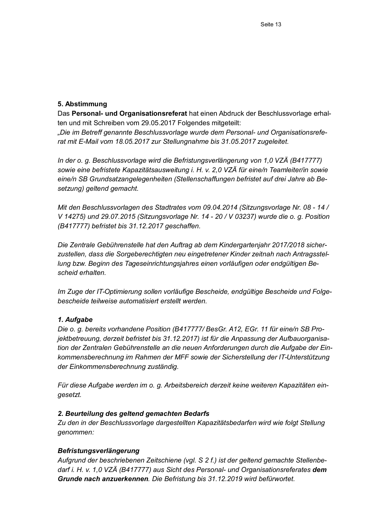# 5. Abstimmung

Das Personal- und Organisationsreferat hat einen Abdruck der Beschlussvorlage erhalten und mit Schreiben vom 29.05.2017 Folgendes mitgeteilt:

"Die im Betreff genannte Beschlussvorlage wurde dem Personal- und Organisationsreferat mit E-Mail vom 18.05.2017 zur Stellungnahme bis 31.05.2017 zugeleitet.

In der o. g. Beschlussvorlage wird die Befristungsverlängerung von 1,0 VZÄ (B417777) sowie eine befristete Kapazitätsausweitung i. H. v. 2,0 VZÄ für eine/n Teamleiter/in sowie eine/n SB Grundsatzangelegenheiten (Stellenschaffungen befristet auf drei Jahre ab Besetzung) geltend gemacht.

Mit den Beschlussvorlagen des Stadtrates vom 09.04.2014 (Sitzungsvorlage Nr. 08 - 14 / V 14275) und 29.07.2015 (Sitzungsvorlage Nr. 14 - 20 / V 03237) wurde die o. g. Position (B417777) befristet bis 31.12.2017 geschaffen.

Die Zentrale Gebührenstelle hat den Auftrag ab dem Kindergartenjahr 2017/2018 sicherzustellen, dass die Sorgeberechtigten neu eingetretener Kinder zeitnah nach Antragsstellung bzw. Beginn des Tageseinrichtungsjahres einen vorläufigen oder endgültigen Bescheid erhalten.

Im Zuge der IT-Optimierung sollen vorläufige Bescheide, endgültige Bescheide und Folgebescheide teilweise automatisiert erstellt werden.

# 1. Aufgabe

Die o. g. bereits vorhandene Position (B417777/ BesGr. A12, EGr. 11 für eine/n SB Projektbetreuung, derzeit befristet bis 31.12.2017) ist für die Anpassung der Aufbauorganisation der Zentralen Gebührenstelle an die neuen Anforderungen durch die Aufgabe der Einkommensberechnung im Rahmen der MFF sowie der Sicherstellung der IT-Unterstützung der Einkommensberechnung zuständig.

Für diese Aufgabe werden im o. g. Arbeitsbereich derzeit keine weiteren Kapazitäten eingesetzt.

# 2. Beurteilung des geltend gemachten Bedarfs

Zu den in der Beschlussvorlage dargestellten Kapazitätsbedarfen wird wie folgt Stellung genommen:

# Befristungsverlängerung

Aufgrund der beschriebenen Zeitschiene (vgl. S 2 f.) ist der geltend gemachte Stellenbedarf i. H. v. 1.0 VZÄ (B417777) aus Sicht des Personal- und Organisationsreferates dem Grunde nach anzuerkennen. Die Befristung bis 31.12.2019 wird befürwortet.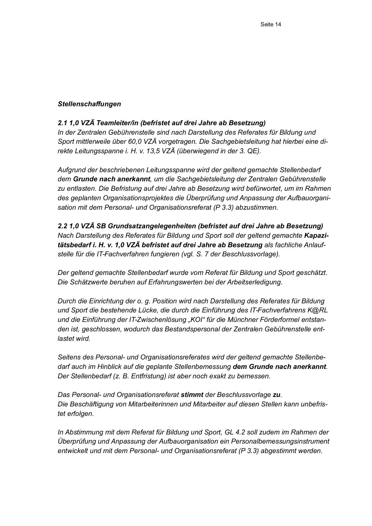#### **Stellenschaffungen**

#### 2.1 1.0 VZÄ Teamleiter/in (befristet auf drei Jahre ab Besetzung)

In der Zentralen Gebührenstelle sind nach Darstellung des Referates für Bildung und Sport mittlerweile über 60,0 VZÄ vorgetragen. Die Sachgebietsleitung hat hierbei eine direkte Leitungsspanne i. H. v. 13,5 VZÄ (überwiegend in der 3. QE).

Aufgrund der beschriebenen Leitungsspanne wird der geltend gemachte Stellenbedarf dem Grunde nach anerkannt, um die Sachgebietsleitung der Zentralen Gebührenstelle zu entlasten. Die Befristung auf drei Jahre ab Besetzung wird befürwortet, um im Rahmen des geplanten Organisationsprojektes die Überprüfung und Anpassung der Aufbauorganisation mit dem Personal- und Organisationsreferat (P 3.3) abzustimmen.

2.2 1.0 VZÄ SB Grundsatzangelegenheiten (befristet auf drei Jahre ab Besetzung) Nach Darstellung des Referates für Bildung und Sport soll der geltend gemachte Kapazitätsbedarf i. H. v. 1.0 VZÄ befristet auf drei Jahre ab Besetzung als fachliche Anlaufstelle für die IT-Fachverfahren fungieren (vgl. S. 7 der Beschlussvorlage).

Der geltend gemachte Stellenbedarf wurde vom Referat für Bildung und Sport geschätzt. Die Schätzwerte beruhen auf Erfahrungswerten bei der Arbeitserledigung.

Durch die Einrichtung der o. g. Position wird nach Darstellung des Referates für Bildung und Sport die bestehende Lücke, die durch die Einführung des IT-Fachverfahrens K@RL und die Einführung der IT-Zwischenlösung "KOI" für die Münchner Förderformel entstanden ist, geschlossen, wodurch das Bestandspersonal der Zentralen Gebührenstelle entlastet wird.

Seitens des Personal- und Organisationsreferates wird der geltend gemachte Stellenbedarf auch im Hinblick auf die geplante Stellenbemessung dem Grunde nach anerkannt. Der Stellenbedarf (z. B. Entfristung) ist aber noch exakt zu bemessen.

Das Personal- und Organisationsreferat stimmt der Beschlussvorlage zu. Die Beschäftigung von Mitarbeiterinnen und Mitarbeiter auf diesen Stellen kann unbefristet erfolgen.

In Abstimmung mit dem Referat für Bildung und Sport, GL 4.2 soll zudem im Rahmen der Überprüfung und Anpassung der Aufbauorganisation ein Personalbemessungsinstrument entwickelt und mit dem Personal- und Organisationsreferat (P 3.3) abgestimmt werden.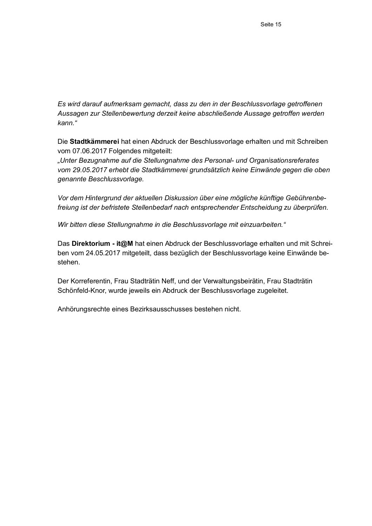Es wird darauf aufmerksam gemacht, dass zu den in der Beschlussvorlage getroffenen Aussagen zur Stellenbewertung derzeit keine abschließende Aussage getroffen werden kann."

Die Stadtkämmerei hat einen Abdruck der Beschlussvorlage erhalten und mit Schreiben vom 07.06.2017 Folgendes mitgeteilt:

"Unter Bezugnahme auf die Stellungnahme des Personal- und Organisationsreferates vom 29.05.2017 erhebt die Stadtkämmerei grundsätzlich keine Einwände gegen die oben genannte Beschlussvorlage.

Vor dem Hintergrund der aktuellen Diskussion über eine mögliche künftige Gebührenbefreiung ist der befristete Stellenbedarf nach entsprechender Entscheidung zu überprüfen.

Wir bitten diese Stellungnahme in die Beschlussvorlage mit einzuarbeiten."

Das Direktorium - it@M hat einen Abdruck der Beschlussvorlage erhalten und mit Schreiben vom 24.05.2017 mitgeteilt, dass bezüglich der Beschlussvorlage keine Einwände bestehen.

Der Korreferentin, Frau Stadträtin Neff, und der Verwaltungsbeirätin, Frau Stadträtin Schönfeld-Knor, wurde jeweils ein Abdruck der Beschlussvorlage zugeleitet.

Anhörungsrechte eines Bezirksausschusses bestehen nicht.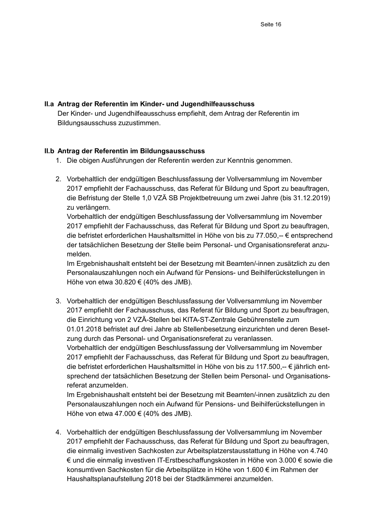### II.a Antrag der Referentin im Kinder- und Jugendhilfeausschuss

Der Kinder- und Jugendhilfeausschuss empfiehlt, dem Antrag der Referentin im Bildungsausschuss zuzustimmen.

### II.b Antrag der Referentin im Bildungsausschuss

- 1. Die obigen Ausführungen der Referentin werden zur Kenntnis genommen.
- 2. Vorbehaltlich der endgültigen Beschlussfassung der Vollversammlung im November 2017 empfiehlt der Fachausschuss, das Referat für Bildung und Sport zu beauftragen, die Befristung der Stelle 1,0 VZÄ SB Projektbetreuung um zwei Jahre (bis 31.12.2019) zu verlängern.

Vorbehaltlich der endgültigen Beschlussfassung der Vollversammlung im November 2017 empfiehlt der Fachausschuss, das Referat für Bildung und Sport zu beauftragen, die befristet erforderlichen Haushaltsmittel in Höhe von bis zu 77.050,- € entsprechend der tatsächlichen Besetzung der Stelle beim Personal- und Organisationsreferat anzumelden.

Im Ergebnishaushalt entsteht bei der Besetzung mit Beamten/-innen zusätzlich zu den Personalauszahlungen noch ein Aufwand für Pensions- und Beihilferückstellungen in Höhe von etwa 30.820  $\in$  (40% des JMB).

3. Vorbehaltlich der endgültigen Beschlussfassung der Vollversammlung im November 2017 empfiehlt der Fachausschuss, das Referat für Bildung und Sport zu beauftragen, die Einrichtung von 2 VZÄ-Stellen bei KITA-ST-Zentrale Gebührenstelle zum 01.01.2018 befristet auf drei Jahre ab Stellenbesetzung einzurichten und deren Besetzung durch das Personal- und Organisationsreferat zu veranlassen. Vorbehaltlich der endgültigen Beschlussfassung der Vollversammlung im November 2017 empfiehlt der Fachausschuss, das Referat für Bildung und Sport zu beauftragen, die befristet erforderlichen Haushaltsmittel in Höhe von bis zu 117.500,-- € jährlich entsprechend der tatsächlichen Besetzung der Stellen beim Personal- und Organisationsreferat anzumelden.

Im Ergebnishaushalt entsteht bei der Besetzung mit Beamten/-innen zusätzlich zu den Personalauszahlungen noch ein Aufwand für Pensions- und Beihilferückstellungen in Höhe von etwa 47.000  $\in$  (40% des JMB).

4. Vorbehaltlich der endgültigen Beschlussfassung der Vollversammlung im November 2017 empfiehlt der Fachausschuss, das Referat für Bildung und Sport zu beauftragen, die einmalig investiven Sachkosten zur Arbeitsplatzerstausstattung in Höhe von 4.740 € und die einmalig investiven IT-Erstbeschaffungskosten in Höhe von 3.000 € sowie die konsumtiven Sachkosten für die Arbeitsplätze in Höhe von 1.600 € im Rahmen der Haushaltsplanaufstellung 2018 bei der Stadtkämmerei anzumelden.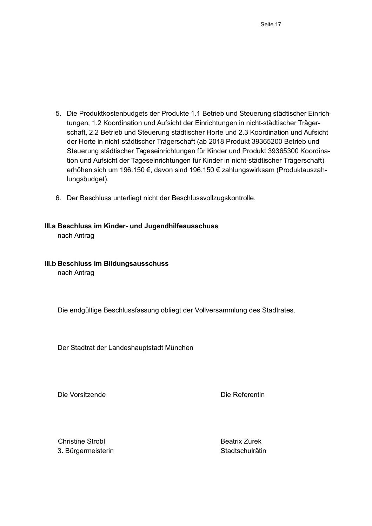- 5. Die Produktkostenbudgets der Produkte 1.1 Betrieb und Steuerung städtischer Einrichtungen, 1.2 Koordination und Aufsicht der Einrichtungen in nicht-städtischer Trägerschaft, 2.2 Betrieb und Steuerung städtischer Horte und 2.3 Koordination und Aufsicht der Horte in nicht-städtischer Trägerschaft (ab 2018 Produkt 39365200 Betrieb und Steuerung städtischer Tageseinrichtungen für Kinder und Produkt 39365300 Koordination und Aufsicht der Tageseinrichtungen für Kinder in nicht-städtischer Trägerschaft) erhöhen sich um 196.150 €, davon sind 196.150 € zahlungswirksam (Produktauszahlungsbudget).
- 6. Der Beschluss unterliegt nicht der Beschlussvollzugskontrolle.

#### III.a Beschluss im Kinder- und Jugendhilfeausschuss

nach Antrag

III.b Beschluss im Bildungsausschuss

nach Antrag

Die endgültige Beschlussfassung obliegt der Vollversammlung des Stadtrates.

Der Stadtrat der Landeshauptstadt München

Die Vorsitzende

Die Referentin

**Christine Strobl** 3. Bürgermeisterin **Beatrix Zurek** Stadtschulrätin